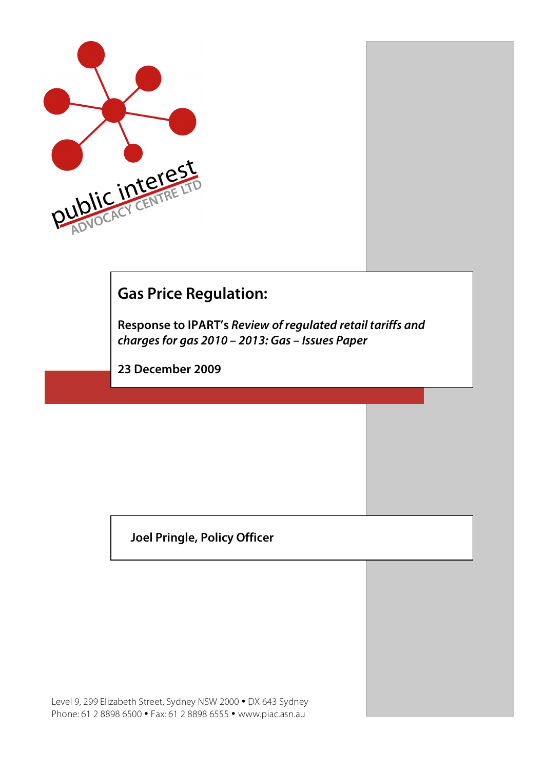

## **Gas Price Regulation:**

**Response to IPART's Review of regulated retail tariffs and charges for gas 2010 – 2013: Gas – Issues Paper**

**23 December 2009**

**Joel Pringle, Policy Officer**

Level 9, 299 Elizabeth Street, Sydney NSW 2000 • DX 643 Sydney Phone: 61 2 8898 6500 • Fax: 61 2 8898 6555 • www.piac.asn.au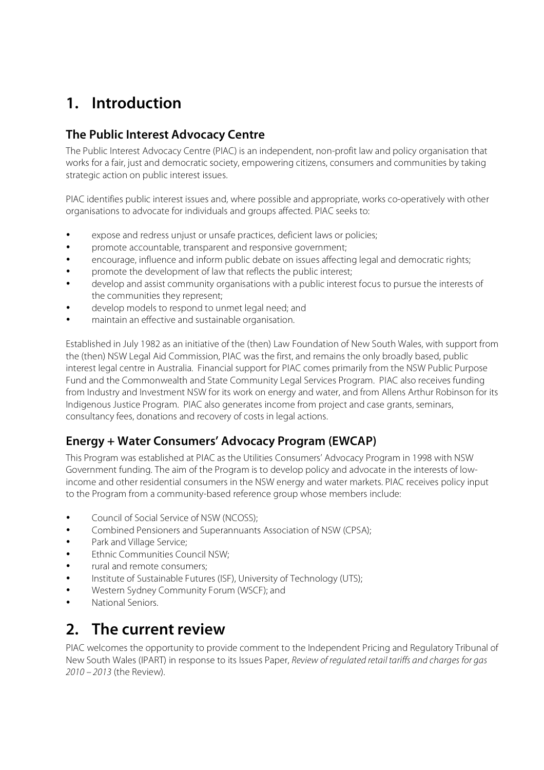# **1. Introduction**

### **The Public Interest Advocacy Centre**

The Public Interest Advocacy Centre (PIAC) is an independent, non-profit law and policy organisation that works for a fair, just and democratic society, empowering citizens, consumers and communities by taking strategic action on public interest issues.

PIAC identifies public interest issues and, where possible and appropriate, works co-operatively with other organisations to advocate for individuals and groups affected. PIAC seeks to:

- expose and redress unjust or unsafe practices, deficient laws or policies;
- promote accountable, transparent and responsive government;
- encourage, influence and inform public debate on issues affecting legal and democratic rights;
- promote the development of law that reflects the public interest;
- develop and assist community organisations with a public interest focus to pursue the interests of the communities they represent;
- develop models to respond to unmet legal need; and
- maintain an effective and sustainable organisation.

Established in July 1982 as an initiative of the (then) Law Foundation of New South Wales, with support from the (then) NSW Legal Aid Commission, PIAC was the first, and remains the only broadly based, public interest legal centre in Australia. Financial support for PIAC comes primarily from the NSW Public Purpose Fund and the Commonwealth and State Community Legal Services Program. PIAC also receives funding from Industry and Investment NSW for its work on energy and water, and from Allens Arthur Robinson for its Indigenous Justice Program. PIAC also generates income from project and case grants, seminars, consultancy fees, donations and recovery of costs in legal actions.

#### **Energy + Water Consumers' Advocacy Program (EWCAP)**

This Program was established at PIAC as the Utilities Consumers' Advocacy Program in 1998 with NSW Government funding. The aim of the Program is to develop policy and advocate in the interests of lowincome and other residential consumers in the NSW energy and water markets. PIAC receives policy input to the Program from a community-based reference group whose members include:

- Council of Social Service of NSW (NCOSS);
- Combined Pensioners and Superannuants Association of NSW (CPSA);
- Park and Village Service;
- Ethnic Communities Council NSW;
- rural and remote consumers;
- Institute of Sustainable Futures (ISF), University of Technology (UTS);
- Western Sydney Community Forum (WSCF); and
- National Seniors.

### **2. The current review**

PIAC welcomes the opportunity to provide comment to the Independent Pricing and Regulatory Tribunal of New South Wales (IPART) in response to its Issues Paper, Review of regulated retail tariffs and charges for gas 2010 – 2013 (the Review).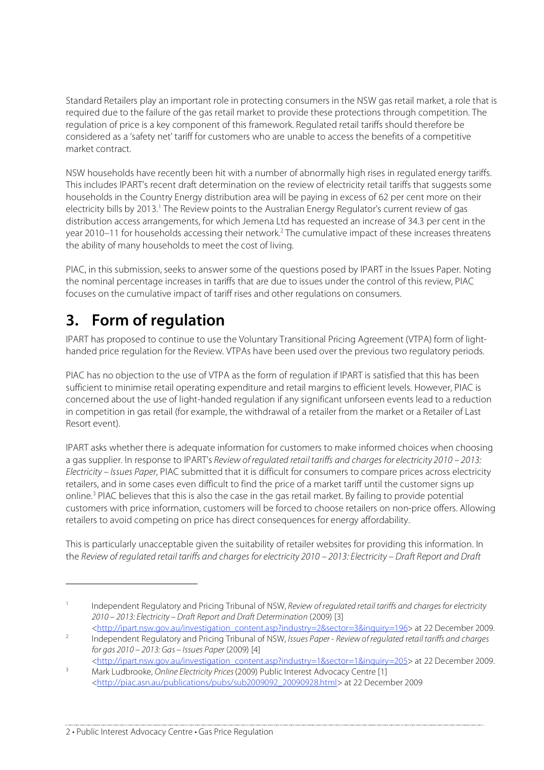Standard Retailers play an important role in protecting consumers in the NSW gas retail market, a role that is required due to the failure of the gas retail market to provide these protections through competition. The regulation of price is a key component of this framework. Regulated retail tariffs should therefore be considered as a 'safety net' tariff for customers who are unable to access the benefits of a competitive market contract.

NSW households have recently been hit with a number of abnormally high rises in regulated energy tariffs. This includes IPART's recent draft determination on the review of electricity retail tariffs that suggests some households in the Country Energy distribution area will be paying in excess of 62 per cent more on their electricity bills by 2013.<sup>1</sup> The Review points to the Australian Energy Regulator's current review of gas distribution access arrangements, for which Jemena Ltd has requested an increase of 34.3 per cent in the year 2010–11 for households accessing their network.<sup>2</sup> The cumulative impact of these increases threatens the ability of many households to meet the cost of living.

PIAC, in this submission, seeks to answer some of the questions posed by IPART in the Issues Paper. Noting the nominal percentage increases in tariffs that are due to issues under the control of this review, PIAC focuses on the cumulative impact of tariff rises and other regulations on consumers.

# **3. Form of regulation**

 $\overline{a}$ 

IPART has proposed to continue to use the Voluntary Transitional Pricing Agreement (VTPA) form of lighthanded price regulation for the Review. VTPAs have been used over the previous two regulatory periods.

PIAC has no objection to the use of VTPA as the form of regulation if IPART is satisfied that this has been sufficient to minimise retail operating expenditure and retail margins to efficient levels. However, PIAC is concerned about the use of light-handed regulation if any significant unforseen events lead to a reduction in competition in gas retail (for example, the withdrawal of a retailer from the market or a Retailer of Last Resort event).

IPART asks whether there is adequate information for customers to make informed choices when choosing a gas supplier. In response to IPART's Review of regulated retail tariffs and charges for electricity 2010 – 2013: Electricity – Issues Paper, PIAC submitted that it is difficult for consumers to compare prices across electricity retailers, and in some cases even difficult to find the price of a market tariff until the customer signs up online.<sup>3</sup> PIAC believes that this is also the case in the gas retail market. By failing to provide potential customers with price information, customers will be forced to choose retailers on non-price offers. Allowing retailers to avoid competing on price has direct consequences for energy affordability.

This is particularly unacceptable given the suitability of retailer websites for providing this information. In the Review of regulated retail tariffs and charges for electricity 2010 – 2013: Electricity – Draft Report and Draft

2 • Public Interest Advocacy Centre • Gas Price Regulation

<sup>&</sup>lt;sup>1</sup> Independent Regulatory and Pricing Tribunal of NSW, Review of regulated retail tariffs and charges for electricity 2010 – 2013: Electricity – Draft Report and Draft Determination (2009) [3] <http://ipart.nsw.gov.au/investigation\_content.asp?industry=2&sector=3&inquiry=196> at 22 December 2009.

<sup>&</sup>lt;sup>2</sup> Independent Regulatory and Pricing Tribunal of NSW, Issues Paper - Review of regulated retail tariffs and charges for gas 2010 – 2013: Gas – Issues Paper (2009) [4]

<sup>&</sup>lt;http://ipart.nsw.gov.au/investigation\_content.asp?industry=1&sector=1&inquiry=205> at 22 December 2009. <sup>3</sup> Mark Ludbrooke, Online Electricity Prices (2009) Public Interest Advocacy Centre [1]

<sup>&</sup>lt;http://piac.asn.au/publications/pubs/sub2009092\_20090928.html> at 22 December 2009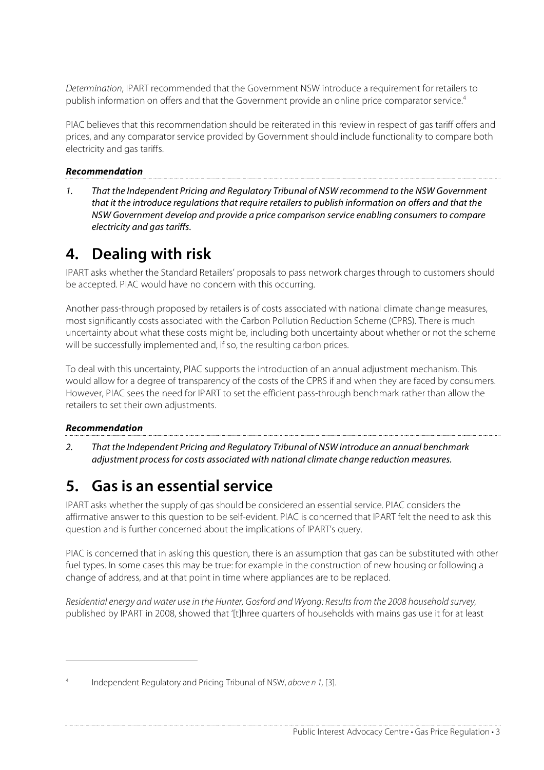Determination, IPART recommended that the Government NSW introduce a requirement for retailers to publish information on offers and that the Government provide an online price comparator service.4

PIAC believes that this recommendation should be reiterated in this review in respect of gas tariff offers and prices, and any comparator service provided by Government should include functionality to compare both electricity and gas tariffs.

#### **Recommendation**

1. That the Independent Pricing and Regulatory Tribunal of NSW recommend to the NSW Government that it the introduce regulations that require retailers to publish information on offers and that the NSW Government develop and provide a price comparison service enabling consumers to compare electricity and gas tariffs.

### **4. Dealing with risk**

IPART asks whether the Standard Retailers' proposals to pass network charges through to customers should be accepted. PIAC would have no concern with this occurring.

Another pass-through proposed by retailers is of costs associated with national climate change measures, most significantly costs associated with the Carbon Pollution Reduction Scheme (CPRS). There is much uncertainty about what these costs might be, including both uncertainty about whether or not the scheme will be successfully implemented and, if so, the resulting carbon prices.

To deal with this uncertainty, PIAC supports the introduction of an annual adjustment mechanism. This would allow for a degree of transparency of the costs of the CPRS if and when they are faced by consumers. However, PIAC sees the need for IPART to set the efficient pass-through benchmark rather than allow the retailers to set their own adjustments.

#### **Recommendation**

 $\overline{a}$ 

2. That the Independent Pricing and Regulatory Tribunal of NSW introduce an annual benchmark adjustment process for costs associated with national climate change reduction measures.

## **5. Gas is an essential service**

IPART asks whether the supply of gas should be considered an essential service. PIAC considers the affirmative answer to this question to be self-evident. PIAC is concerned that IPART felt the need to ask this question and is further concerned about the implications of IPART's query.

PIAC is concerned that in asking this question, there is an assumption that gas can be substituted with other fuel types. In some cases this may be true: for example in the construction of new housing or following a change of address, and at that point in time where appliances are to be replaced.

Residential energy and water use in the Hunter, Gosford and Wyong: Results from the 2008 household survey, published by IPART in 2008, showed that '[t]hree quarters of households with mains gas use it for at least

Independent Regulatory and Pricing Tribunal of NSW, above n 1, [3].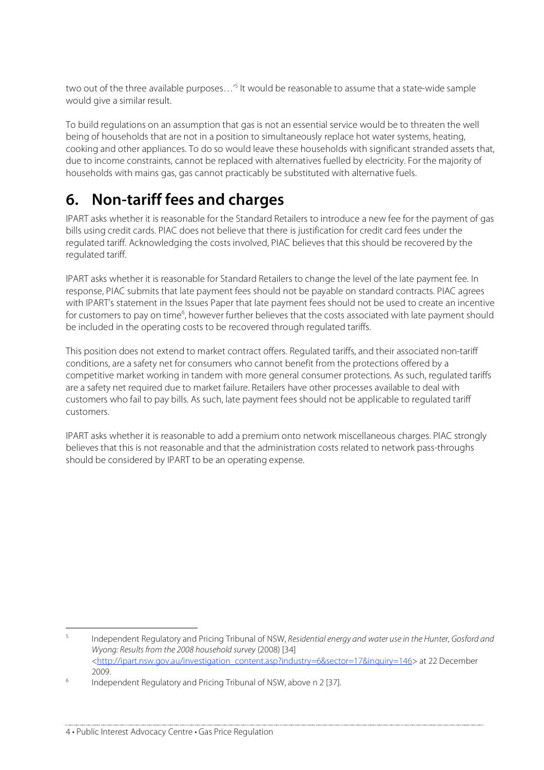two out of the three available purposes...'<sup>5</sup> It would be reasonable to assume that a state-wide sample would give a similar result.

To build regulations on an assumption that gas is not an essential service would be to threaten the well being of households that are not in a position to simultaneously replace hot water systems, heating, cooking and other appliances. To do so would leave these households with significant stranded assets that, due to income constraints, cannot be replaced with alternatives fuelled by electricity. For the majority of households with mains gas, gas cannot practicably be substituted with alternative fuels.

# **6. Non-tariff fees and charges**

IPART asks whether it is reasonable for the Standard Retailers to introduce a new fee for the payment of gas bills using credit cards. PIAC does not believe that there is justification for credit card fees under the regulated tariff. Acknowledging the costs involved, PIAC believes that this should be recovered by the regulated tariff.

IPART asks whether it is reasonable for Standard Retailers to change the level of the late payment fee. In response, PIAC submits that late payment fees should not be payable on standard contracts. PIAC agrees with IPART's statement in the Issues Paper that late payment fees should not be used to create an incentive for customers to pay on time<sup>6</sup>, however further believes that the costs associated with late payment should be included in the operating costs to be recovered through regulated tariffs.

This position does not extend to market contract offers. Regulated tariffs, and their associated non-tariff conditions, are a safety net for consumers who cannot benefit from the protections offered by a competitive market working in tandem with more general consumer protections. As such, regulated tariffs are a safety net required due to market failure. Retailers have other processes available to deal with customers who fail to pay bills. As such, late payment fees should not be applicable to regulated tariff customers.

IPART asks whether it is reasonable to add a premium onto network miscellaneous charges. PIAC strongly believes that this is not reasonable and that the administration costs related to network pass-throughs should be considered by IPART to be an operating expense.

<sup>&</sup>lt;sup>5</sup> Independent Regulatory and Pricing Tribunal of NSW, Residential energy and water use in the Hunter, Gosford and Wyong: Results from the 2008 household survey (2008) [34] <http://ipart.nsw.gov.au/investigation\_content.asp?industry=6&sector=17&inquiry=146> at 22 December 2009.<br>
<sup>6</sup> Independent Regulatory and Pricing Tribunal of NSW, above n 2 [37].